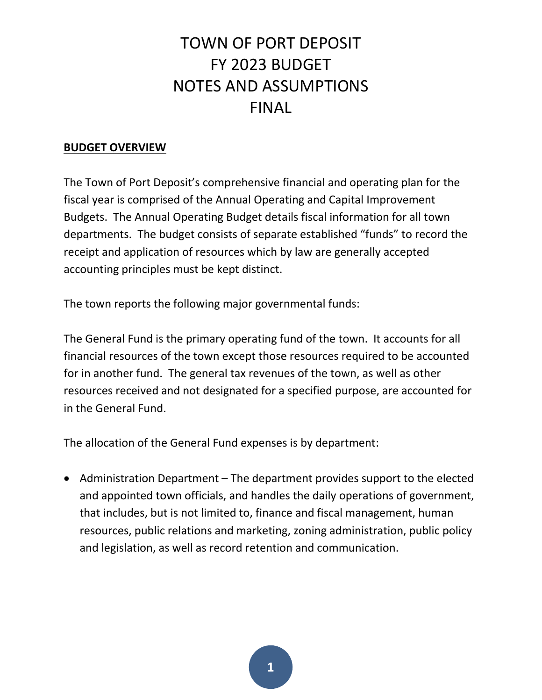#### **BUDGET OVERVIEW**

The Town of Port Deposit's comprehensive financial and operating plan for the fiscal year is comprised of the Annual Operating and Capital Improvement Budgets. The Annual Operating Budget details fiscal information for all town departments. The budget consists of separate established "funds" to record the receipt and application of resources which by law are generally accepted accounting principles must be kept distinct.

The town reports the following major governmental funds:

The General Fund is the primary operating fund of the town. It accounts for all financial resources of the town except those resources required to be accounted for in another fund. The general tax revenues of the town, as well as other resources received and not designated for a specified purpose, are accounted for in the General Fund.

The allocation of the General Fund expenses is by department:

 Administration Department – The department provides support to the elected and appointed town officials, and handles the daily operations of government, that includes, but is not limited to, finance and fiscal management, human resources, public relations and marketing, zoning administration, public policy and legislation, as well as record retention and communication.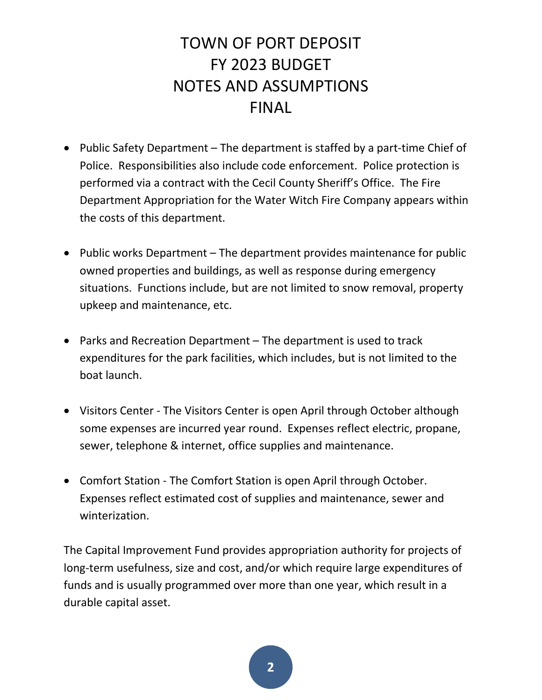- Public Safety Department The department is staffed by a part-time Chief of Police. Responsibilities also include code enforcement. Police protection is performed via a contract with the Cecil County Sheriff's Office. The Fire Department Appropriation for the Water Witch Fire Company appears within the costs of this department.
- Public works Department  $-$  The department provides maintenance for public owned properties and buildings, as well as response during emergency situations. Functions include, but are not limited to snow removal, property upkeep and maintenance, etc.
- Parks and Recreation Department The department is used to track expenditures for the park facilities, which includes, but is not limited to the boat launch.
- Visitors Center The Visitors Center is open April through October although some expenses are incurred year round. Expenses reflect electric, propane, sewer, telephone & internet, office supplies and maintenance.
- Comfort Station The Comfort Station is open April through October. Expenses reflect estimated cost of supplies and maintenance, sewer and winterization.

The Capital Improvement Fund provides appropriation authority for projects of long-term usefulness, size and cost, and/or which require large expenditures of funds and is usually programmed over more than one year, which result in a durable capital asset.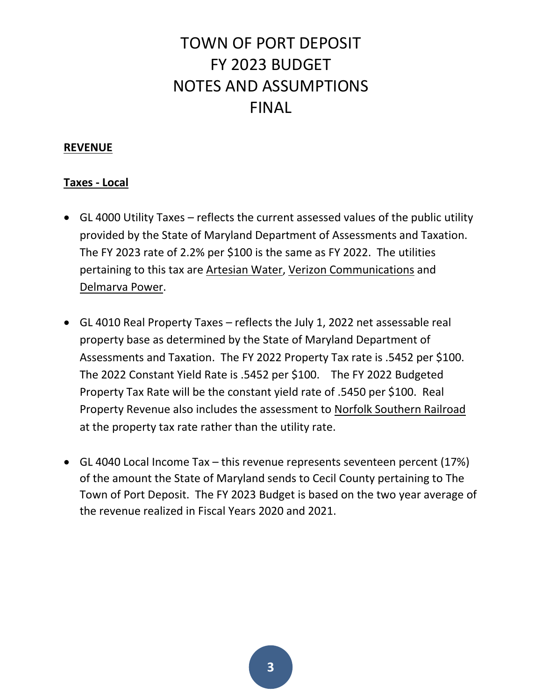#### **REVENUE**

#### **Taxes - Local**

- GL 4000 Utility Taxes reflects the current assessed values of the public utility provided by the State of Maryland Department of Assessments and Taxation. The FY 2023 rate of 2.2% per \$100 is the same as FY 2022. The utilities pertaining to this tax are Artesian Water, Verizon Communications and Delmarva Power.
- GL 4010 Real Property Taxes reflects the July 1, 2022 net assessable real property base as determined by the State of Maryland Department of Assessments and Taxation. The FY 2022 Property Tax rate is .5452 per \$100. The 2022 Constant Yield Rate is .5452 per \$100. The FY 2022 Budgeted Property Tax Rate will be the constant yield rate of .5450 per \$100. Real Property Revenue also includes the assessment to Norfolk Southern Railroad at the property tax rate rather than the utility rate.
- GL 4040 Local Income Tax this revenue represents seventeen percent (17%) of the amount the State of Maryland sends to Cecil County pertaining to The Town of Port Deposit. The FY 2023 Budget is based on the two year average of the revenue realized in Fiscal Years 2020 and 2021.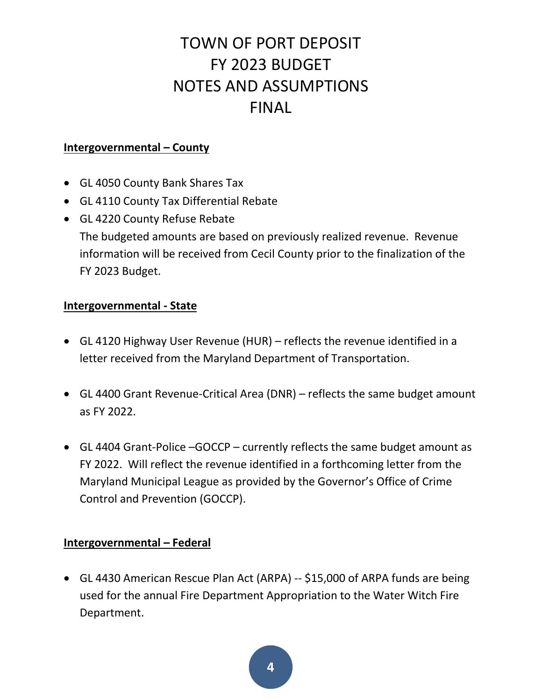### **Intergovernmental – County**

- GL 4050 County Bank Shares Tax
- GL 4110 County Tax Differential Rebate
- GL 4220 County Refuse Rebate The budgeted amounts are based on previously realized revenue. Revenue information will be received from Cecil County prior to the finalization of the FY 2023 Budget.

### **Intergovernmental - State**

- GL 4120 Highway User Revenue (HUR) reflects the revenue identified in a letter received from the Maryland Department of Transportation.
- GL 4400 Grant Revenue-Critical Area (DNR) reflects the same budget amount as FY 2022.
- GL 4404 Grant-Police –GOCCP currently reflects the same budget amount as FY 2022. Will reflect the revenue identified in a forthcoming letter from the Maryland Municipal League as provided by the Governor's Office of Crime Control and Prevention (GOCCP).

### **Intergovernmental – Federal**

 GL 4430 American Rescue Plan Act (ARPA) -- \$15,000 of ARPA funds are being used for the annual Fire Department Appropriation to the Water Witch Fire Department.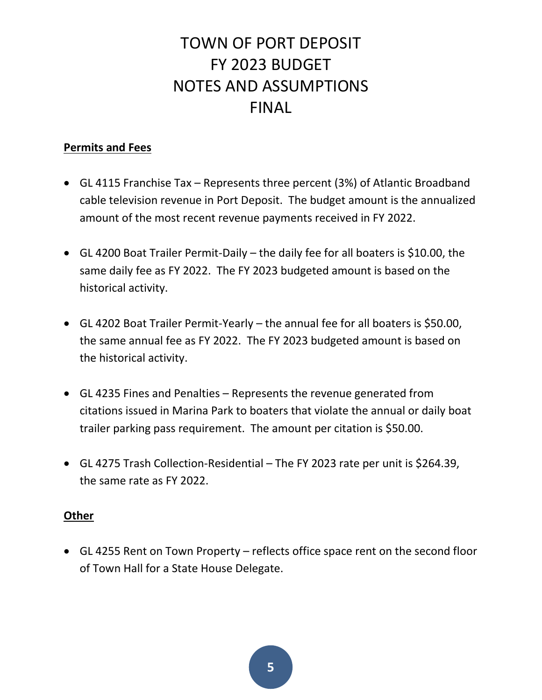### **Permits and Fees**

- GL 4115 Franchise Tax Represents three percent (3%) of Atlantic Broadband cable television revenue in Port Deposit. The budget amount is the annualized amount of the most recent revenue payments received in FY 2022.
- GL 4200 Boat Trailer Permit-Daily the daily fee for all boaters is \$10.00, the same daily fee as FY 2022. The FY 2023 budgeted amount is based on the historical activity.
- GL 4202 Boat Trailer Permit-Yearly the annual fee for all boaters is \$50.00, the same annual fee as FY 2022. The FY 2023 budgeted amount is based on the historical activity.
- GL 4235 Fines and Penalties Represents the revenue generated from citations issued in Marina Park to boaters that violate the annual or daily boat trailer parking pass requirement. The amount per citation is \$50.00.
- GL 4275 Trash Collection-Residential The FY 2023 rate per unit is \$264.39, the same rate as FY 2022.

### **Other**

 GL 4255 Rent on Town Property – reflects office space rent on the second floor of Town Hall for a State House Delegate.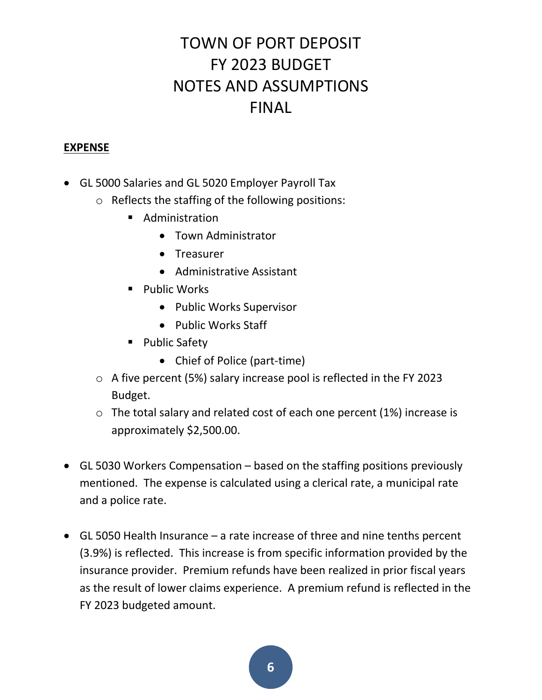### **EXPENSE**

- GL 5000 Salaries and GL 5020 Employer Payroll Tax
	- o Reflects the staffing of the following positions:
		- **Administration** 
			- Town Administrator
			- Treasurer
			- Administrative Assistant
		- **Public Works** 
			- Public Works Supervisor
			- Public Works Staff
		- **Public Safety** 
			- Chief of Police (part-time)
	- o A five percent (5%) salary increase pool is reflected in the FY 2023 Budget.
	- o The total salary and related cost of each one percent (1%) increase is approximately \$2,500.00.
- GL 5030 Workers Compensation based on the staffing positions previously mentioned. The expense is calculated using a clerical rate, a municipal rate and a police rate.
- GL 5050 Health Insurance a rate increase of three and nine tenths percent (3.9%) is reflected. This increase is from specific information provided by the insurance provider. Premium refunds have been realized in prior fiscal years as the result of lower claims experience. A premium refund is reflected in the FY 2023 budgeted amount.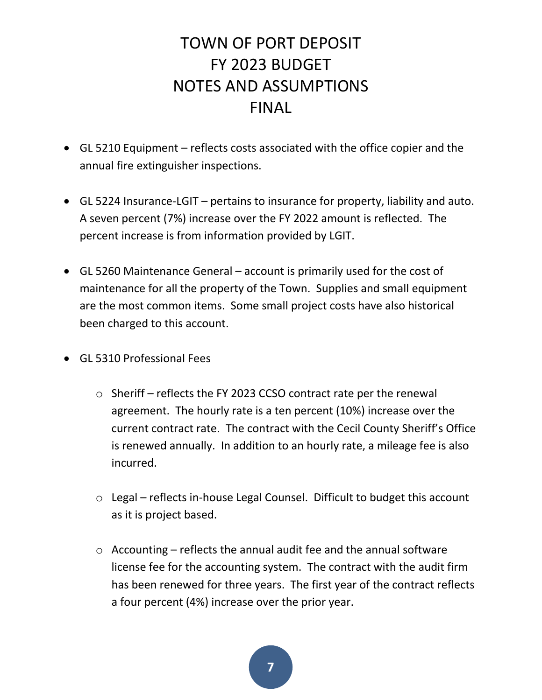- GL 5210 Equipment reflects costs associated with the office copier and the annual fire extinguisher inspections.
- GL 5224 Insurance-LGIT pertains to insurance for property, liability and auto. A seven percent (7%) increase over the FY 2022 amount is reflected. The percent increase is from information provided by LGIT.
- GL 5260 Maintenance General account is primarily used for the cost of maintenance for all the property of the Town. Supplies and small equipment are the most common items. Some small project costs have also historical been charged to this account.
- GL 5310 Professional Fees
	- o Sheriff reflects the FY 2023 CCSO contract rate per the renewal agreement. The hourly rate is a ten percent (10%) increase over the current contract rate. The contract with the Cecil County Sheriff's Office is renewed annually. In addition to an hourly rate, a mileage fee is also incurred.
	- o Legal reflects in-house Legal Counsel. Difficult to budget this account as it is project based.
	- $\circ$  Accounting reflects the annual audit fee and the annual software license fee for the accounting system. The contract with the audit firm has been renewed for three years. The first year of the contract reflects a four percent (4%) increase over the prior year.